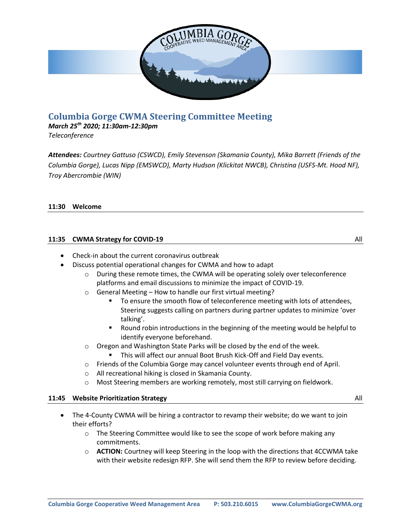

# **Columbia Gorge CWMA Steering Committee Meeting**

*March 25th 2020; 11:30am-12:30pm Teleconference*

*Attendees: Courtney Gattuso (CSWCD), Emily Stevenson (Skamania County), Mika Barrett (Friends of the Columbia Gorge), Lucas Nipp (EMSWCD), Marty Hudson (Klickitat NWCB), Christina (USFS-Mt. Hood NF), Troy Abercrombie (WIN)*

#### **11:30 Welcome**

### **11:35 CWMA Strategy for COVID-19** All

- Check-in about the current coronavirus outbreak
- Discuss potential operational changes for CWMA and how to adapt
	- $\circ$  During these remote times, the CWMA will be operating solely over teleconference platforms and email discussions to minimize the impact of COVID-19.
	- o General Meeting How to handle our first virtual meeting?
		- To ensure the smooth flow of teleconference meeting with lots of attendees, Steering suggests calling on partners during partner updates to minimize 'over talking'.
		- Round robin introductions in the beginning of the meeting would be helpful to identify everyone beforehand.
	- o Oregon and Washington State Parks will be closed by the end of the week.
		- **This will affect our annual Boot Brush Kick-Off and Field Day events.**
	- o Friends of the Columbia Gorge may cancel volunteer events through end of April.
	- o All recreational hiking is closed in Skamania County.
	- $\circ$  Most Steering members are working remotely, most still carrying on fieldwork.

#### **11:45 Website Prioritization Strategy** All All

- 
- The 4-County CWMA will be hiring a contractor to revamp their website; do we want to join their efforts?
	- o The Steering Committee would like to see the scope of work before making any commitments.
	- o **ACTION:** Courtney will keep Steering in the loop with the directions that 4CCWMA take with their website redesign RFP. She will send them the RFP to review before deciding.